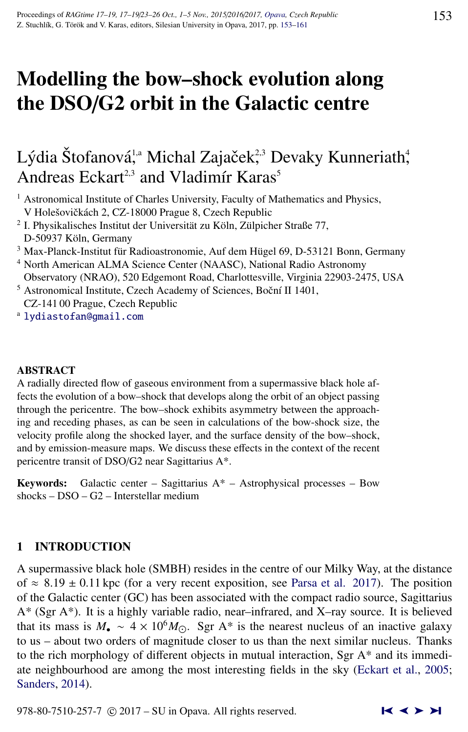# Modelling the bow–shock evolution along the DSO/G2 orbit in the Galactic centre

# Lýdia Štofanová<sup>1,a</sup> Michal Zajaček<sup>2,3</sup> Devaky Kunneriath<sup>4</sup>, Andreas Eckart<sup>2,3</sup> and Vladimír Karas<sup>5</sup>

- <sup>1</sup> Astronomical Institute of Charles University, Faculty of Mathematics and Physics, V Holešovičkách 2, CZ-18000 Prague 8, Czech Republic
- <sup>2</sup> I. Physikalisches Institut der Universität zu Köln, Zülpicher Straße 77, D-50937 Köln, Germany
- $3$  Max-Planck-Institut für Radioastronomie, Auf dem Hügel 69, D-53121 Bonn, Germany
- <sup>4</sup> North American ALMA Science Center (NAASC), National Radio Astronomy Observatory (NRAO), 520 Edgemont Road, Charlottesville, Virginia 22903-2475, USA
- <sup>5</sup> Astronomical Institute, Czech Academy of Sciences, Boční II 1401, CZ-141 00 Prague, Czech Republic
- <sup>a</sup> [lydiastofan@gmail.com](http://www.physics.cz/ lydiastofan@gmail.com)

#### ABSTRACT

A radially directed flow of gaseous environment from a supermassive black hole affects the evolution of a bow–shock that develops along the orbit of an object passing through the pericentre. The bow–shock exhibits asymmetry between the approaching and receding phases, as can be seen in calculations of the bow-shock size, the velocity profile along the shocked layer, and the surface density of the bow–shock, and by emission-measure maps. We discuss these effects in the context of the recent pericentre transit of DSO/G2 near Sagittarius A\*.

Keywords: Galactic center – Sagittarius  $A^*$  – Astrophysical processes – Bow shocks – DSO – G2 – Interstellar medium

# 1 INTRODUCTION

A supermassive black hole (SMBH) resides in the centre of our Milky Way, at the distance of  $\approx 8.19 \pm 0.11$  kpc (for a very recent exposition, see [Parsa et al.](#page-7-0) [2017\)](#page-7-0). The position of the Galactic center (GC) has been associated with the compact radio source, Sagittarius A\* (Sgr A\*). It is a highly variable radio, near–infrared, and X–ray source. It is believed that its mass is  $M_{\bullet} \sim 4 \times 10^{6} M_{\odot}$ . Sgr A<sup>\*</sup> is the nearest nucleus of an inactive galaxy to us – about two orders of magnitude closer to us than the next similar nucleus. Thanks to the rich morphology of different objects in mutual interaction, Sgr  $A^*$  and its immediate neighbourhood are among the most interesting fields in the sky [\(Eckart et al.,](#page-7-0) [2005;](#page-7-0) [Sanders,](#page-7-0) [2014\)](#page-7-0).

978-80-7510-257-7  $\odot$  2017 – SU in Opava. All rights reserved.  $\blacksquare \blacktriangle \blacktriangleright \blacktriangleright \blacksquare$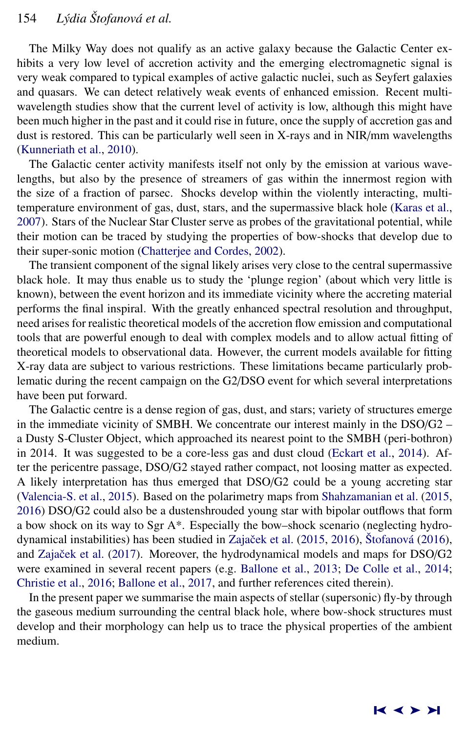The Milky Way does not qualify as an active galaxy because the Galactic Center exhibits a very low level of accretion activity and the emerging electromagnetic signal is very weak compared to typical examples of active galactic nuclei, such as Seyfert galaxies and quasars. We can detect relatively weak events of enhanced emission. Recent multiwavelength studies show that the current level of activity is low, although this might have been much higher in the past and it could rise in future, once the supply of accretion gas and dust is restored. This can be particularly well seen in X-rays and in NIR/mm wavelengths [\(Kunneriath et al.,](#page-7-0) [2010\)](#page-7-0).

The Galactic center activity manifests itself not only by the emission at various wavelengths, but also by the presence of streamers of gas within the innermost region with the size of a fraction of parsec. Shocks develop within the violently interacting, multitemperature environment of gas, dust, stars, and the supermassive black hole [\(Karas et al.,](#page-7-0) [2007\)](#page-7-0). Stars of the Nuclear Star Cluster serve as probes of the gravitational potential, while their motion can be traced by studying the properties of bow-shocks that develop due to their super-sonic motion [\(Chatterjee and Cordes,](#page-6-0) [2002\)](#page-6-0).

The transient component of the signal likely arises very close to the central supermassive black hole. It may thus enable us to study the 'plunge region' (about which very little is known), between the event horizon and its immediate vicinity where the accreting material performs the final inspiral. With the greatly enhanced spectral resolution and throughput, need arises for realistic theoretical models of the accretion flow emission and computational tools that are powerful enough to deal with complex models and to allow actual fitting of theoretical models to observational data. However, the current models available for fitting X-ray data are subject to various restrictions. These limitations became particularly problematic during the recent campaign on the G2/DSO event for which several interpretations have been put forward.

The Galactic centre is a dense region of gas, dust, and stars; variety of structures emerge in the immediate vicinity of SMBH. We concentrate our interest mainly in the DSO/G2 – a Dusty S-Cluster Object, which approached its nearest point to the SMBH (peri-bothron) in 2014. It was suggested to be a core-less gas and dust cloud [\(Eckart et al.,](#page-6-0) [2014\)](#page-6-0). After the pericentre passage, DSO/G2 stayed rather compact, not loosing matter as expected. A likely interpretation has thus emerged that DSO/G2 could be a young accreting star [\(Valencia-S. et al.,](#page-7-0) [2015\)](#page-7-0). Based on the polarimetry maps from [Shahzamanian et al.](#page-7-0) [\(2015,](#page-7-0) [2016\)](#page-7-0) DSO/G2 could also be a dustenshrouded young star with bipolar outflows that form a bow shock on its way to Sgr A\*. Especially the bow–shock scenario (neglecting hydrodynamical instabilities) has been studied in Zajaček et al.  $(2015, 2016)$  $(2015, 2016)$  $(2015, 2016)$ , Štofanová  $(2016)$ , and Zajaček et al. [\(2017\)](#page-8-0). Moreover, the hydrodynamical models and maps for DSO/G2 were examined in several recent papers (e.g. [Ballone et al.,](#page-6-0) [2013;](#page-6-0) [De Colle et al.,](#page-6-0) [2014;](#page-6-0) [Christie et al.,](#page-6-0) [2016;](#page-6-0) [Ballone et al.,](#page-6-0) [2017,](#page-6-0) and further references cited therein).

In the present paper we summarise the main aspects of stellar (supersonic) fly-by through the gaseous medium surrounding the central black hole, where bow-shock structures must develop and their morphology can help us to trace the physical properties of the ambient medium.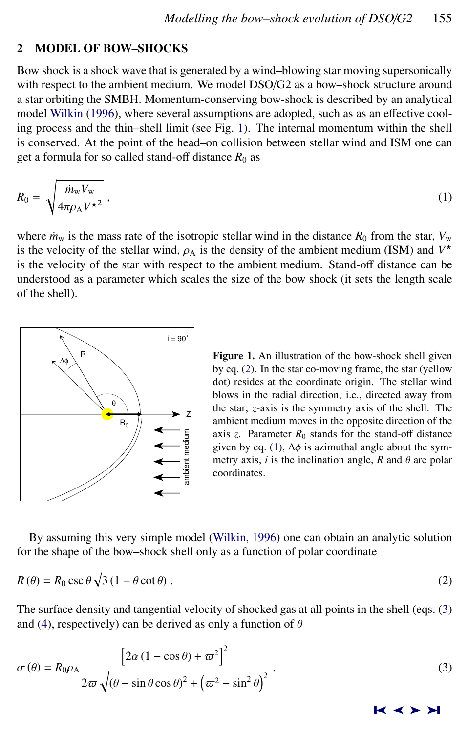#### <span id="page-2-0"></span>2 MODEL OF BOW–SHOCKS

Bow shock is a shock wave that is generated by a wind–blowing star moving supersonically with respect to the ambient medium. We model DSO/G2 as a bow–shock structure around a star orbiting the SMBH. Momentum-conserving bow-shock is described by an analytical model [Wilkin](#page-7-0) [\(1996\)](#page-7-0), where several assumptions are adopted, such as as an effective cooling process and the thin–shell limit (see Fig. 1). The internal momentum within the shell is conserved. At the point of the head–on collision between stellar wind and ISM one can get a formula for so called stand-off distance  $R_0$  as

$$
R_0 = \sqrt{\frac{\dot{m}_w V_w}{4\pi \rho_A V^{\star 2}}},\tag{1}
$$

where  $\dot{m}_w$  is the mass rate of the isotropic stellar wind in the distance  $R_0$  from the star,  $V_w$ is the velocity of the stellar wind,  $\rho_A$  is the density of the ambient medium (ISM) and  $V^*$ <br>is the velocity of the star with respect to the ambient medium. Stand-off distance can be is the velocity of the star with respect to the ambient medium. Stand-off distance can be understood as a parameter which scales the size of the bow shock (it sets the length scale of the shell).



Figure 1. An illustration of the bow-shock shell given by eq. (2). In the star co-moving frame, the star (yellow dot) resides at the coordinate origin. The stellar wind blows in the radial direction, i.e., directed away from the star; *z*-axis is the symmetry axis of the shell. The ambient medium moves in the opposite direction of the axis  $z$ . Parameter  $R_0$  stands for the stand-off distance given by eq. (1),  $\Delta \phi$  is azimuthal angle about the symmetry axis, *i* is the inclination angle, *R* and  $\theta$  are polar coordinates.

By assuming this very simple model [\(Wilkin,](#page-7-0) [1996\)](#page-7-0) one can obtain an analytic solution for the shape of the bow–shock shell only as a function of polar coordinate

$$
R(\theta) = R_0 \csc \theta \sqrt{3(1 - \theta \cot \theta)}.
$$
 (2)

The surface density and tangential velocity of shocked gas at all points in the shell (eqs. (3) and [\(4\)](#page-3-0), respectively) can be derived as only a function of  $\theta$ 

$$
\sigma(\theta) = R_0 \rho_A \frac{\left[2\alpha \left(1 - \cos \theta\right) + \varpi^2\right]^2}{2\varpi \sqrt{\left(\theta - \sin \theta \cos \theta\right)^2 + \left(\varpi^2 - \sin^2 \theta\right)^2}},\tag{3}
$$

➤❙ ➤➤ ➤❙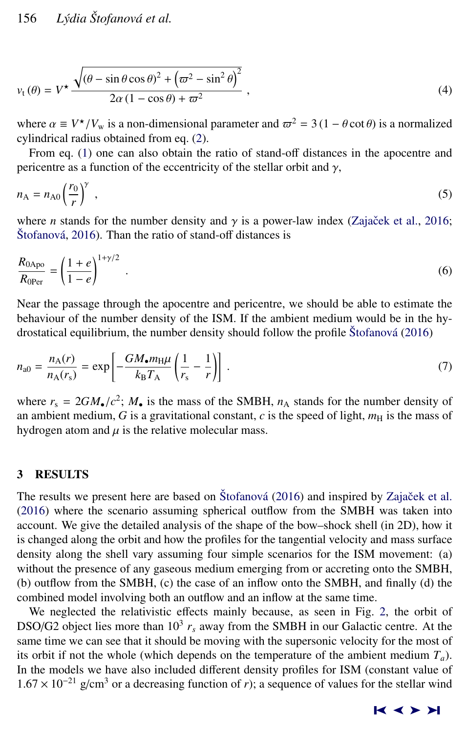<span id="page-3-0"></span>
$$
v_{t}(\theta) = V^{\star} \frac{\sqrt{(\theta - \sin \theta \cos \theta)^{2} + (\varpi^{2} - \sin^{2} \theta)^{2}}}{2\alpha (1 - \cos \theta) + \varpi^{2}} , \qquad (4)
$$

where  $\alpha \equiv V^*/V_w$  is a non-dimensional parameter and  $\varpi^2 = 3 (1 - \theta \cot \theta)$  is a normalized evaluational radius obtained from eq. (2) cylindrical radius obtained from eq. [\(2\)](#page-2-0).

From eq. [\(1\)](#page-2-0) one can also obtain the ratio of stand-off distances in the apocentre and pericentre as a function of the eccentricity of the stellar orbit and  $\gamma$ ,

$$
n_{A} = n_{A0} \left(\frac{r_0}{r}\right)^{\gamma} , \qquad (5)
$$

where *n* stands for the number density and  $\gamma$  is a power-law index (Zajaček et al., [2016;](#page-8-0)  $\check{\text{Stofanov}}$  $\check{\text{Stofanov}}$  $\check{\text{Stofanov}}$  a $, 2016$ . Than the ratio of stand-off distances is

$$
\frac{R_{0\text{Apo}}}{R_{0\text{Per}}} = \left(\frac{1+e}{1-e}\right)^{1+\gamma/2} \tag{6}
$$

Near the passage through the apocentre and pericentre, we should be able to estimate the behaviour of the number density of the ISM. If the ambient medium would be in the hydrostatical equilibrium, the number density should follow the profile  $\check{S}$ tofanová [\(2016\)](#page-7-0)

$$
n_{\rm a0} = \frac{n_{\rm A}(r)}{n_{\rm A}(r_{\rm s})} = \exp\left[-\frac{GM_{\bullet}m_{\rm H}\mu}{k_{\rm B}T_{\rm A}}\left(\frac{1}{r_{\rm s}}-\frac{1}{r}\right)\right] \,. \tag{7}
$$

where  $r_s = 2GM_{\bullet}/c^2$ ;  $M_{\bullet}$  is the mass of the SMBH,  $n_A$  stands for the number density of an ambient medium G is a gravitational constant c is the speed of light  $m_{\rm M}$  is the mass of an ambient medium,  $G$  is a gravitational constant,  $c$  is the speed of light,  $m<sub>H</sub>$  is the mass of hydrogen atom and  $\mu$  is the relative molecular mass.

# 3 RESULTS

The results we present here are based on Štofanová [\(2016\)](#page-7-0) and inspired by Zajaček et al. [\(2016\)](#page-8-0) where the scenario assuming spherical outflow from the SMBH was taken into account. We give the detailed analysis of the shape of the bow–shock shell (in 2D), how it is changed along the orbit and how the profiles for the tangential velocity and mass surface density along the shell vary assuming four simple scenarios for the ISM movement: (a) without the presence of any gaseous medium emerging from or accreting onto the SMBH, (b) outflow from the SMBH, (c) the case of an inflow onto the SMBH, and finally (d) the combined model involving both an outflow and an inflow at the same time.

We neglected the relativistic effects mainly because, as seen in Fig. [2,](#page-4-0) the orbit of DSO/G2 object lies more than  $10^3 r_s$  away from the SMBH in our Galactic centre. At the same time we can see that it should be moving with the supersonic velocity for the most of its orbit if not the whole (which depends on the temperature of the ambient medium  $T_a$ ). In the models we have also included different density profiles for ISM (constant value of  $1.67 \times 10^{-21}$  g/cm<sup>3</sup> or a decreasing function of *r*); a sequence of values for the stellar wind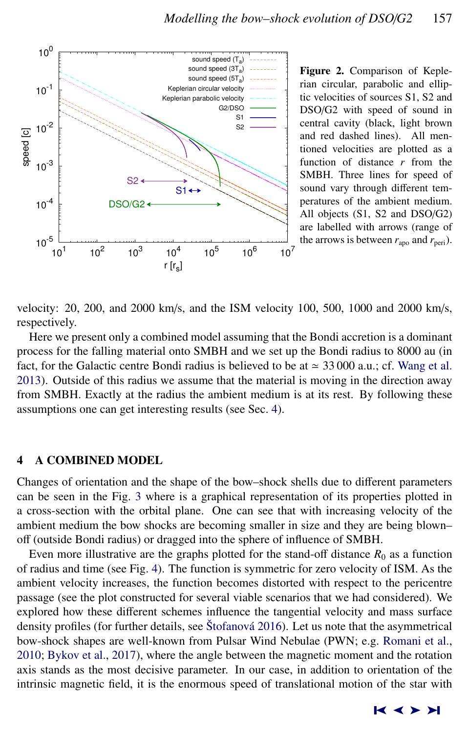<span id="page-4-0"></span>

Figure 2. Comparison of Keplerian circular, parabolic and elliptic velocities of sources S1, S2 and DSO/G2 with speed of sound in central cavity (black, light brown and red dashed lines). All mentioned velocities are plotted as a function of distance *r* from the SMBH. Three lines for speed of sound vary through different temperatures of the ambient medium. All objects (S1, S2 and DSO/G2) are labelled with arrows (range of the arrows is between  $r_{\text{apo}}$  and  $r_{\text{peri}}$ ).

velocity: 20, 200, and 2000 km/s, and the ISM velocity 100, 500, 1000 and 2000 km/s, respectively.

Here we present only a combined model assuming that the Bondi accretion is a dominant process for the falling material onto SMBH and we set up the Bondi radius to 8000 au (in fact, for the Galactic centre Bondi radius is believed to be at  $\approx 33\,000$  a.u.; cf. [Wang et al.](#page-7-0) [2013\)](#page-7-0). Outside of this radius we assume that the material is moving in the direction away from SMBH. Exactly at the radius the ambient medium is at its rest. By following these assumptions one can get interesting results (see Sec. 4).

#### 4 A COMBINED MODEL

Changes of orientation and the shape of the bow–shock shells due to different parameters can be seen in the Fig. [3](#page-5-0) where is a graphical representation of its properties plotted in a cross-section with the orbital plane. One can see that with increasing velocity of the ambient medium the bow shocks are becoming smaller in size and they are being blown– off (outside Bondi radius) or dragged into the sphere of influence of SMBH.

Even more illustrative are the graphs plotted for the stand-off distance  $R_0$  as a function of radius and time (see Fig. [4\)](#page-5-0). The function is symmetric for zero velocity of ISM. As the ambient velocity increases, the function becomes distorted with respect to the pericentre passage (see the plot constructed for several viable scenarios that we had considered). We explored how these different schemes influence the tangential velocity and mass surface density profiles (for further details, see Štofanová [2016\)](#page-7-0). Let us note that the asymmetrical bow-shock shapes are well-known from Pulsar Wind Nebulae (PWN; e.g. [Romani et al.,](#page-7-0) [2010;](#page-7-0) [Bykov et al.,](#page-6-0) [2017\)](#page-6-0), where the angle between the magnetic moment and the rotation axis stands as the most decisive parameter. In our case, in addition to orientation of the intrinsic magnetic field, it is the enormous speed of translational motion of the star with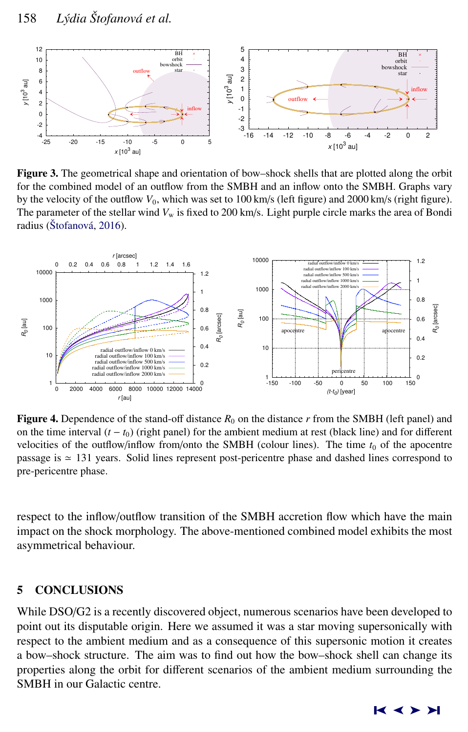<span id="page-5-0"></span>

Figure 3. The geometrical shape and orientation of bow–shock shells that are plotted along the orbit for the combined model of an outflow from the SMBH and an inflow onto the SMBH. Graphs vary by the velocity of the outflow  $V_0$ , which was set to  $100 \text{ km/s}$  (left figure) and  $2000 \text{ km/s}$  (right figure). The parameter of the stellar wind  $V_w$  is fixed to 200 km/s. Light purple circle marks the area of Bondi radius (Štofanová, [2016\)](#page-7-0).



**Figure 4.** Dependence of the stand-off distance  $R_0$  on the distance r from the SMBH (left panel) and on the time interval  $(t - t_0)$  (right panel) for the ambient medium at rest (black line) and for different velocities of the outflow/inflow from/onto the SMBH (colour lines). The time  $t_0$  of the apocentre passage is  $\simeq$  131 years. Solid lines represent post-pericentre phase and dashed lines correspond to pre-pericentre phase.

respect to the inflow/outflow transition of the SMBH accretion flow which have the main impact on the shock morphology. The above-mentioned combined model exhibits the most asymmetrical behaviour.

# 5 CONCLUSIONS

While DSO/G2 is a recently discovered object, numerous scenarios have been developed to point out its disputable origin. Here we assumed it was a star moving supersonically with respect to the ambient medium and as a consequence of this supersonic motion it creates a bow–shock structure. The aim was to find out how the bow–shock shell can change its properties along the orbit for different scenarios of the ambient medium surrounding the SMBH in our Galactic centre.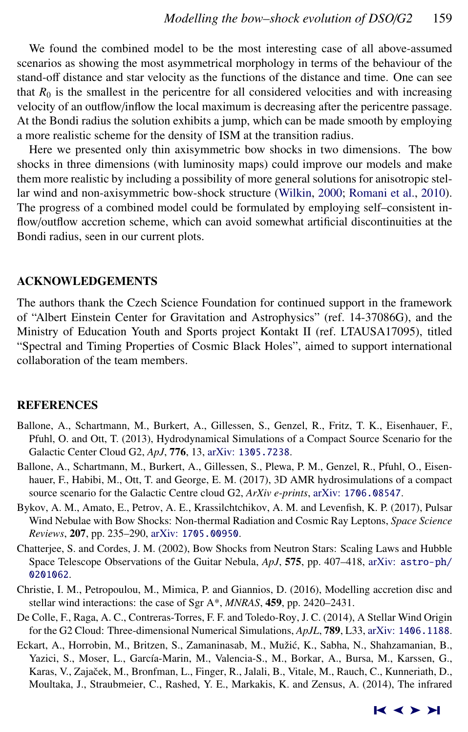<span id="page-6-0"></span>We found the combined model to be the most interesting case of all above-assumed scenarios as showing the most asymmetrical morphology in terms of the behaviour of the stand-off distance and star velocity as the functions of the distance and time. One can see that  $R_0$  is the smallest in the pericentre for all considered velocities and with increasing velocity of an outflow/inflow the local maximum is decreasing after the pericentre passage. At the Bondi radius the solution exhibits a jump, which can be made smooth by employing a more realistic scheme for the density of ISM at the transition radius.

Here we presented only thin axisymmetric bow shocks in two dimensions. The bow shocks in three dimensions (with luminosity maps) could improve our models and make them more realistic by including a possibility of more general solutions for anisotropic stellar wind and non-axisymmetric bow-shock structure [\(Wilkin,](#page-7-0) [2000;](#page-7-0) [Romani et al.,](#page-7-0) [2010\)](#page-7-0). The progress of a combined model could be formulated by employing self–consistent inflow/outflow accretion scheme, which can avoid somewhat artificial discontinuities at the Bondi radius, seen in our current plots.

### ACKNOWLEDGEMENTS

The authors thank the Czech Science Foundation for continued support in the framework of "Albert Einstein Center for Gravitation and Astrophysics" (ref. 14-37086G), and the Ministry of Education Youth and Sports project Kontakt II (ref. LTAUSA17095), titled "Spectral and Timing Properties of Cosmic Black Holes", aimed to support international collaboration of the team members.

#### REFERENCES

- Ballone, A., Schartmann, M., Burkert, A., Gillessen, S., Genzel, R., Fritz, T. K., Eisenhauer, F., Pfuhl, O. and Ott, T. (2013), Hydrodynamical Simulations of a Compact Source Scenario for the Galactic Center Cloud G2, *ApJ*, 776, 13, arXiv: [1305.7238](http://www.arxiv.org/abs/1305.7238).
- Ballone, A., Schartmann, M., Burkert, A., Gillessen, S., Plewa, P. M., Genzel, R., Pfuhl, O., Eisenhauer, F., Habibi, M., Ott, T. and George, E. M. (2017), 3D AMR hydrosimulations of a compact source scenario for the Galactic Centre cloud G2, *ArXiv e-prints*, arXiv: [1706.08547](http://www.arxiv.org/abs/1706.08547).
- Bykov, A. M., Amato, E., Petrov, A. E., Krassilchtchikov, A. M. and Levenfish, K. P. (2017), Pulsar Wind Nebulae with Bow Shocks: Non-thermal Radiation and Cosmic Ray Leptons, *Space Science Reviews*, 207, pp. 235–290, arXiv: [1705.00950](http://www.arxiv.org/abs/1705.00950).
- Chatterjee, S. and Cordes, J. M. (2002), Bow Shocks from Neutron Stars: Scaling Laws and Hubble Space Telescope Observations of the Guitar Nebula, *ApJ*, 575, pp. 407–418, arXiv: [astro-ph/](http://www.arxiv.org/abs/astro-ph/0201062) [0201062](http://www.arxiv.org/abs/astro-ph/0201062).
- Christie, I. M., Petropoulou, M., Mimica, P. and Giannios, D. (2016), Modelling accretion disc and stellar wind interactions: the case of Sgr A\*, *MNRAS*, 459, pp. 2420–2431.
- De Colle, F., Raga, A. C., Contreras-Torres, F. F. and Toledo-Roy, J. C. (2014), A Stellar Wind Origin for the G2 Cloud: Three-dimensional Numerical Simulations, *ApJL*, 789, L33, arXiv: [1406.1188](http://www.arxiv.org/abs/1406.1188).
- Eckart, A., Horrobin, M., Britzen, S., Zamaninasab, M., Mužić, K., Sabha, N., Shahzamanian, B., Yazici, S., Moser, L., García-Marin, M., Valencia-S., M., Borkar, A., Bursa, M., Karssen, G., Karas, V., Zajaček, M., Bronfman, L., Finger, R., Jalali, B., Vitale, M., Rauch, C., Kunneriath, D., Moultaka, J., Straubmeier, C., Rashed, Y. E., Markakis, K. and Zensus, A. (2014), The infrared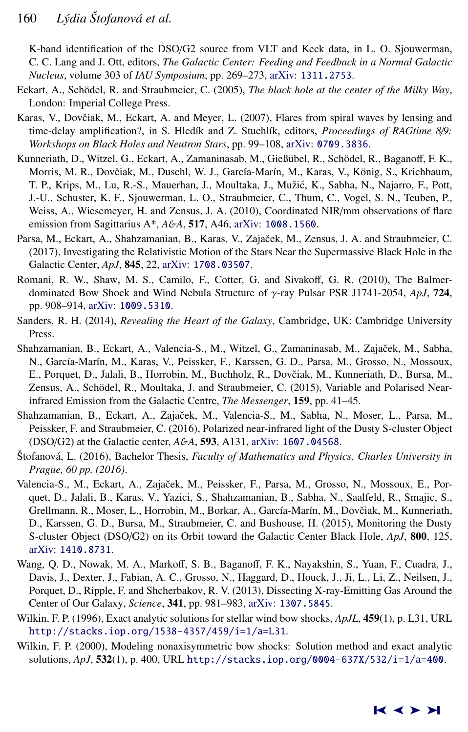<span id="page-7-0"></span>K-band identification of the DSO/G2 source from VLT and Keck data, in L. O. Sjouwerman, C. C. Lang and J. Ott, editors, *The Galactic Center: Feeding and Feedback in a Normal Galactic Nucleus*, volume 303 of *IAU Symposium*, pp. 269–273, arXiv: [1311.2753](http://www.arxiv.org/abs/1311.2753).

- Eckart, A., Schödel, R. and Straubmeier, C. (2005), *The black hole at the center of the Milky Way*, London: Imperial College Press.
- Karas, V., Dovčiak, M., Eckart, A. and Meyer, L. (2007), Flares from spiral waves by lensing and time-delay amplification?, in S. Hledík and Z. Stuchlík, editors, *Proceedings of RAGtime 8/9: Workshops on Black Holes and Neutron Stars*, pp. 99–108, arXiv: [0709.3836](http://www.arxiv.org/abs/0709.3836).
- Kunneriath, D., Witzel, G., Eckart, A., Zamaninasab, M., Gießübel, R., Schödel, R., Baganoff, F. K., Morris, M. R., Dovčiak, M., Duschl, W. J., García-Marín, M., Karas, V., König, S., Krichbaum, T. P., Krips, M., Lu, R.-S., Mauerhan, J., Moultaka, J., Mužić, K., Sabha, N., Najarro, F., Pott, J.-U., Schuster, K. F., Sjouwerman, L. O., Straubmeier, C., Thum, C., Vogel, S. N., Teuben, P., Weiss, A., Wiesemeyer, H. and Zensus, J. A. (2010), Coordinated NIR/mm observations of flare emission from Sagittarius A\*, *A*&*A*, 517, A46, arXiv: [1008.1560](http://www.arxiv.org/abs/1008.1560).
- Parsa, M., Eckart, A., Shahzamanian, B., Karas, V., Zajaček, M., Zensus, J. A. and Straubmeier, C. (2017), Investigating the Relativistic Motion of the Stars Near the Supermassive Black Hole in the Galactic Center, *ApJ*, 845, 22, arXiv: [1708.03507](http://www.arxiv.org/abs/1708.03507).
- Romani, R. W., Shaw, M. S., Camilo, F., Cotter, G. and Sivakoff, G. R. (2010), The Balmerdominated Bow Shock and Wind Nebula Structure of γ-ray Pulsar PSR J1741-2054, *ApJ*, <sup>724</sup>, pp. 908–914, arXiv: [1009.5310](http://www.arxiv.org/abs/1009.5310).
- Sanders, R. H. (2014), *Revealing the Heart of the Galaxy*, Cambridge, UK: Cambridge University Press.
- Shahzamanian, B., Eckart, A., Valencia-S., M., Witzel, G., Zamaninasab, M., Zajaček, M., Sabha, N., García-Marín, M., Karas, V., Peissker, F., Karssen, G. D., Parsa, M., Grosso, N., Mossoux, E., Porquet, D., Jalali, B., Horrobin, M., Buchholz, R., Dovčiak, M., Kunneriath, D., Bursa, M., Zensus, A., Schödel, R., Moultaka, J. and Straubmeier, C. (2015), Variable and Polarised Nearinfrared Emission from the Galactic Centre, *The Messenger*, 159, pp. 41–45.
- Shahzamanian, B., Eckart, A., Zajaček, M., Valencia-S., M., Sabha, N., Moser, L., Parsa, M., Peissker, F. and Straubmeier, C. (2016), Polarized near-infrared light of the Dusty S-cluster Object (DSO/G2) at the Galactic center, *A*&*A*, 593, A131, arXiv: [1607.04568](http://www.arxiv.org/abs/1607.04568).
- Stofanová, L. (2016), Bachelor Thesis, *Faculty of Mathematics and Physics, Charles University in Prague, 60 pp. (2016)*.
- Valencia-S., M., Eckart, A., Zajaček, M., Peissker, F., Parsa, M., Grosso, N., Mossoux, E., Porquet, D., Jalali, B., Karas, V., Yazici, S., Shahzamanian, B., Sabha, N., Saalfeld, R., Smajic, S., Grellmann, R., Moser, L., Horrobin, M., Borkar, A., García-Marín, M., Dovčiak, M., Kunneriath, D., Karssen, G. D., Bursa, M., Straubmeier, C. and Bushouse, H. (2015), Monitoring the Dusty S-cluster Object (DSO/G2) on its Orbit toward the Galactic Center Black Hole, *ApJ*, 800, 125, arXiv: [1410.8731](http://www.arxiv.org/abs/1410.8731).
- Wang, Q. D., Nowak, M. A., Markoff, S. B., Baganoff, F. K., Nayakshin, S., Yuan, F., Cuadra, J., Davis, J., Dexter, J., Fabian, A. C., Grosso, N., Haggard, D., Houck, J., Ji, L., Li, Z., Neilsen, J., Porquet, D., Ripple, F. and Shcherbakov, R. V. (2013), Dissecting X-ray-Emitting Gas Around the Center of Our Galaxy, *Science*, 341, pp. 981–983, arXiv: [1307.5845](http://www.arxiv.org/abs/1307.5845).
- Wilkin, F. P. (1996), Exact analytic solutions for stellar wind bow shocks, *ApJL*, 459(1), p. L31, URL <http://stacks.iop.org/1538-4357/459/i=1/a=L31>.
- Wilkin, F. P. (2000), Modeling nonaxisymmetric bow shocks: Solution method and exact analytic solutions, *ApJ*, 532(1), p. 400, URL <http://stacks.iop.org/0004-637X/532/i=1/a=400>.